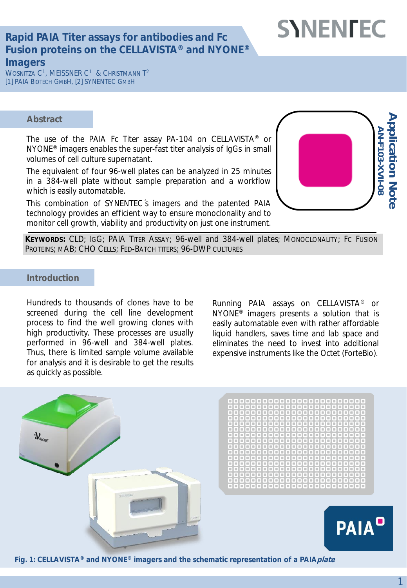## **Rapid PAIA Titer assays for antibodies and Fc Fusion proteins on the CELLAVISTA® and NYONE® Imagers**

# **SYNENFEC**

WOSNITZA C<sup>1</sup>, MEISSNER C<sup>1</sup> & Christmann T<sup>2</sup> [1] PAIA BIOTECH GMBH, [2] SYNENTEC GMBH

#### **Abstract**

The use of the PAIA Fc Titer assay PA-104 on CELLAVISTA® or NYONE® imagers enables the super-fast titer analysis of IgGs in small volumes of cell culture supernatant.

The equivalent of four 96-well plates can be analyzed in 25 minutes in a 384-well plate without sample preparation and a workflow which is easily automatable.

This combination of SYNENTEC´s imagers and the patented PAIA technology provides an efficient way to ensure monoclonality and to monitor cell growth, viability and productivity on just one instrument.



**KEYWORDS:** CLD; IGG; PAIA TITER ASSAY; 96-well and 384-well plates; MONOCLONALITY; FC FUSION PROTEINS; MAB; CHO CELLS; FED-BATCH TITERS; 96-DWP CULTURES

#### **Introduction**

Hundreds to thousands of clones have to be screened during the cell line development process to find the well growing clones with high productivity. These processes are usually performed in 96-well and 384-well plates. Thus, there is limited sample volume available for analysis and it is desirable to get the results as quickly as possible.

Running PAIA assays on CELLAVISTA® or NYONE® imagers presents a solution that is easily automatable even with rather affordable liquid handlers, saves time and lab space and eliminates the need to invest into additional expensive instruments like the Octet (ForteBio).



**Fig. 1: CELLAVISTA® and NYONE® imagers and the schematic representation of a PAIAplate**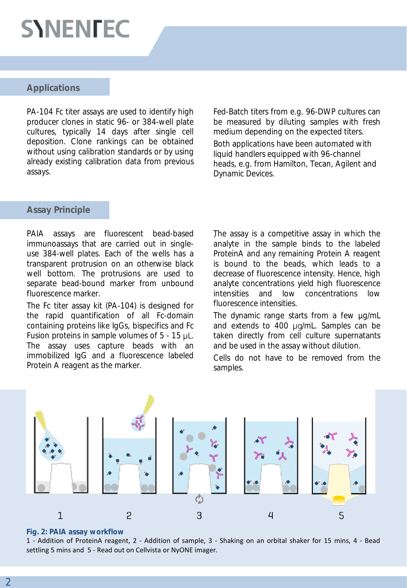## **SYNENFEC**

## **Applications**

PA-104 Fc titer assays are used to identify high producer clones in static 96- or 384-well plate cultures, typically 14 days after single cell deposition. Clone rankings can be obtained without using calibration standards or by using already existing calibration data from previous assays.

Fed-Batch titers from e.g. 96-DWP cultures can be measured by diluting samples with fresh medium depending on the expected titers.

Both applications have been automated with liquid handlers equipped with 96-channel heads, e.g. from Hamilton, Tecan, Agilent and Dynamic Devices.

## **Assay Principle**

PAIA assays are fluorescent bead-based immunoassays that are carried out in singleuse 384-well plates. Each of the wells has a transparent protrusion on an otherwise black well bottom. The protrusions are used to separate bead-bound marker from unbound fluorescence marker.

The Fc titer assay kit (PA-104) is designed for the rapid quantification of all Fc-domain containing proteins like IgGs, bispecifics and Fc Fusion proteins in sample volumes of  $5 - 15$   $\mu$ L. The assay uses capture beads with an immobilized IgG and a fluorescence labeled Protein A reagent as the marker.

The assay is a competitive assay in which the . analyte in the sample binds to the labeled ProteinA and any remaining Protein A reagent is bound to the beads, which leads to a decrease of fluorescence intensity. Hence, high analyte concentrations yield high fluorescence intensities and low concentrations low fluorescence intensities.

The dynamic range starts from a few  $\mu q/mL$ and extends to  $400 \mu g/mL$ . Samples can be taken directly from cell culture supernatants and be used in the assay without dilution.

Cells do not have to be removed from the samples.



#### **Fig. 2: PAIA assay workflow**

1 - Addition of ProteinA reagent, 2 - Addition of sample, 3 - Shaking on an orbital shaker for 15 mins, 4 - Bead settling 5 mins and 5 - Read out on Cellvista or NyONE imager.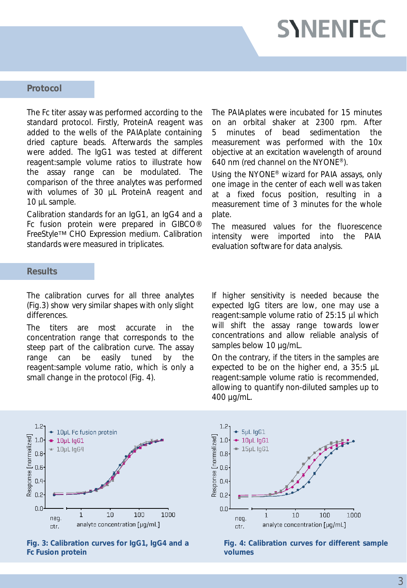

#### **Protocol**

The Fc titer assay was performed according to the standard protocol. Firstly, ProteinA reagent was added to the wells of the PAIAplate containing dried capture beads. Afterwards the samples were added. The IgG1 was tested at different reagent:sample volume ratios to illustrate how the assay range can be modulated. The comparison of the three analytes was performed with volumes of 30 µL ProteinA reagent and 10 µL sample.

Calibration standards for an IgG1, an IgG4 and a Fc fusion protein were prepared in GIBCO® FreeStyle™ CHO Expression medium. Calibration standards were measured in triplicates.

The PAIAplates were incubated for 15 minutes on an orbital shaker at 2300 rpm. After 5 minutes of bead sedimentation the measurement was performed with the 10x objective at an excitation wavelength of around 640 nm (red channel on the NYONE®).

Using the NYONE® wizard for PAIA assays, only one image in the center of each well was taken at a fixed focus position, resulting in a measurement time of 3 minutes for the whole plate.

The measured values for the fluorescence intensity were imported into the PAIA evaluation software for data analysis.

#### **Results**

The calibration curves for all three analytes (Fig.3) show very similar shapes with only slight differences.

The titers are most accurate in the concentration range that corresponds to the steep part of the calibration curve. The assay range can be easily tuned by the reagent:sample volume ratio, which is only a small change in the protocol (Fig. 4).

If higher sensitivity is needed because the expected IgG titers are low, one may use a reagent:sample volume ratio of 25:15 µl which will shift the assay range towards lower concentrations and allow reliable analysis of samples below 10 µg/mL.

On the contrary, if the titers in the samples are expected to be on the higher end, a 35:5 µL reagent:sample volume ratio is recommended, allowing to quantify non-diluted samples up to 400 µg/mL.



**Fig. 3: Calibration curves for IgG1, IgG4 and a Fc Fusion protein**



**Fig. 4: Calibration curves for different sample volumes**